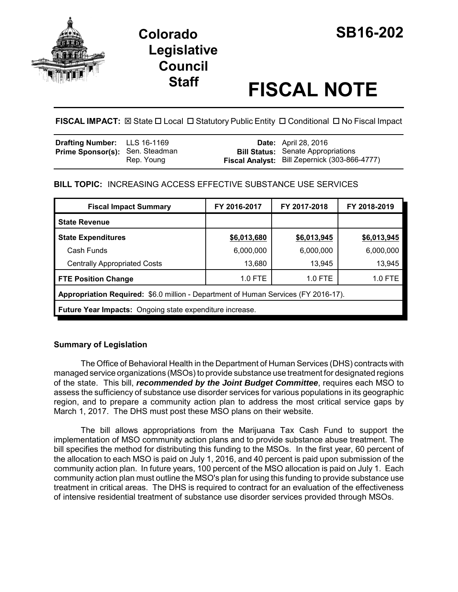

# **Colorado SB16-202 Legislative Council**

# **Staff FISCAL NOTE**

# FISCAL IMPACT:  $\boxtimes$  State  $\Box$  Local  $\Box$  Statutory Public Entity  $\Box$  Conditional  $\Box$  No Fiscal Impact

| <b>Drafting Number:</b> LLS 16-1169    |            | <b>Date:</b> April 28, 2016                                                                |
|----------------------------------------|------------|--------------------------------------------------------------------------------------------|
| <b>Prime Sponsor(s):</b> Sen. Steadman | Rep. Young | <b>Bill Status:</b> Senate Appropriations<br>Fiscal Analyst: Bill Zepernick (303-866-4777) |

# **BILL TOPIC:** INCREASING ACCESS EFFECTIVE SUBSTANCE USE SERVICES

| <b>Fiscal Impact Summary</b>                                                       | FY 2016-2017 | FY 2017-2018 | FY 2018-2019 |  |  |  |
|------------------------------------------------------------------------------------|--------------|--------------|--------------|--|--|--|
| <b>State Revenue</b>                                                               |              |              |              |  |  |  |
| <b>State Expenditures</b>                                                          | \$6,013,680  | \$6,013,945  | \$6,013,945  |  |  |  |
| Cash Funds                                                                         | 6,000,000    | 6,000,000    | 6,000,000    |  |  |  |
| <b>Centrally Appropriated Costs</b>                                                | 13,680       | 13,945       | 13,945       |  |  |  |
| <b>FTE Position Change</b>                                                         | $1.0$ FTE    | $1.0$ FTE    | 1.0 FTE      |  |  |  |
| Appropriation Required: \$6.0 million - Department of Human Services (FY 2016-17). |              |              |              |  |  |  |
| <b>Future Year Impacts:</b> Ongoing state expenditure increase.                    |              |              |              |  |  |  |

# **Summary of Legislation**

The Office of Behavioral Health in the Department of Human Services (DHS) contracts with managed service organizations (MSOs) to provide substance use treatment for designated regions of the state. This bill, *recommended by the Joint Budget Committee*, requires each MSO to assess the sufficiency of substance use disorder services for various populations in its geographic region, and to prepare a community action plan to address the most critical service gaps by March 1, 2017. The DHS must post these MSO plans on their website.

The bill allows appropriations from the Marijuana Tax Cash Fund to support the implementation of MSO community action plans and to provide substance abuse treatment. The bill specifies the method for distributing this funding to the MSOs. In the first year, 60 percent of the allocation to each MSO is paid on July 1, 2016, and 40 percent is paid upon submission of the community action plan. In future years, 100 percent of the MSO allocation is paid on July 1. Each community action plan must outline the MSO's plan for using this funding to provide substance use treatment in critical areas. The DHS is required to contract for an evaluation of the effectiveness of intensive residential treatment of substance use disorder services provided through MSOs.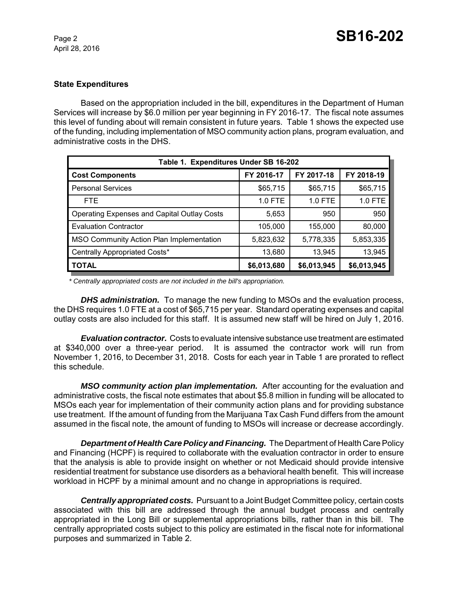April 28, 2016

### **State Expenditures**

Based on the appropriation included in the bill, expenditures in the Department of Human Services will increase by \$6.0 million per year beginning in FY 2016-17. The fiscal note assumes this level of funding about will remain consistent in future years. Table 1 shows the expected use of the funding, including implementation of MSO community action plans, program evaluation, and administrative costs in the DHS.

| Table 1. Expenditures Under SB 16-202              |             |             |             |  |  |  |  |
|----------------------------------------------------|-------------|-------------|-------------|--|--|--|--|
| <b>Cost Components</b>                             | FY 2016-17  | FY 2017-18  | FY 2018-19  |  |  |  |  |
| <b>Personal Services</b>                           | \$65,715    | \$65,715    | \$65,715    |  |  |  |  |
| <b>FTE</b>                                         | 1.0 FTE     | 1.0 FTE     | 1.0 FTE     |  |  |  |  |
| <b>Operating Expenses and Capital Outlay Costs</b> | 5,653       | 950         | 950         |  |  |  |  |
| <b>Evaluation Contractor</b>                       | 105,000     | 155,000     | 80,000      |  |  |  |  |
| MSO Community Action Plan Implementation           | 5,823,632   | 5,778,335   | 5,853,335   |  |  |  |  |
| Centrally Appropriated Costs*                      | 13,680      | 13,945      | 13,945      |  |  |  |  |
| <b>TOTAL</b>                                       | \$6,013,680 | \$6,013,945 | \$6,013,945 |  |  |  |  |

 *\* Centrally appropriated costs are not included in the bill's appropriation.*

*DHS administration.* To manage the new funding to MSOs and the evaluation process, the DHS requires 1.0 FTE at a cost of \$65,715 per year. Standard operating expenses and capital outlay costs are also included for this staff. It is assumed new staff will be hired on July 1, 2016.

*Evaluation contractor.* Costs to evaluate intensive substance use treatment are estimated at \$340,000 over a three-year period. It is assumed the contractor work will run from November 1, 2016, to December 31, 2018. Costs for each year in Table 1 are prorated to reflect this schedule.

*MSO community action plan implementation.* After accounting for the evaluation and administrative costs, the fiscal note estimates that about \$5.8 million in funding will be allocated to MSOs each year for implementation of their community action plans and for providing substance use treatment. If the amount of funding from the Marijuana Tax Cash Fund differs from the amount assumed in the fiscal note, the amount of funding to MSOs will increase or decrease accordingly.

*Department of Health Care Policy and Financing.* The Department of Health Care Policy and Financing (HCPF) is required to collaborate with the evaluation contractor in order to ensure that the analysis is able to provide insight on whether or not Medicaid should provide intensive residential treatment for substance use disorders as a behavioral health benefit. This will increase workload in HCPF by a minimal amount and no change in appropriations is required.

*Centrally appropriated costs.* Pursuant to a Joint Budget Committee policy, certain costs associated with this bill are addressed through the annual budget process and centrally appropriated in the Long Bill or supplemental appropriations bills, rather than in this bill. The centrally appropriated costs subject to this policy are estimated in the fiscal note for informational purposes and summarized in Table 2.